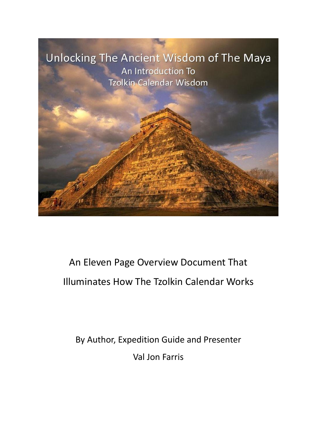

# An Eleven Page Overview Document That Illuminates How The Tzolkin Calendar Works

By Author, Expedition Guide and Presenter Val Jon Farris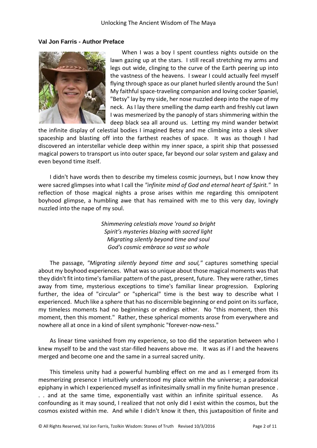## **Val Jon Farris - Author Preface**



When I was a boy I spent countless nights outside on the lawn gazing up at the stars. I still recall stretching my arms and legs out wide, clinging to the curve of the Earth peering up into the vastness of the heavens. I swear I could actually feel myself flying through space as our planet hurled silently around the Sun! My faithful space-traveling companion and loving cocker Spaniel, "Betsy" lay by my side, her nose nuzzled deep into the nape of my neck. As I lay there smelling the damp earth and freshly cut lawn I was mesmerized by the panoply of stars shimmering within the deep black sea all around us. Letting my mind wander betwixt

the infinite display of celestial bodies I imagined Betsy and me climbing into a sleek silver spaceship and blasting off into the farthest reaches of space. It was as though I had discovered an interstellar vehicle deep within my inner space, a spirit ship that possessed magical powers to transport us into outer space, far beyond our solar system and galaxy and even beyond time itself.

I didn't have words then to describe my timeless cosmic journeys, but I now know they were sacred glimpses into what I call the *"infinite mind of God and eternal heart of Spirit."* In reflection of those magical nights a prose arises within me regarding this omnipotent boyhood glimpse, a humbling awe that has remained with me to this very day, lovingly nuzzled into the nape of my soul.

> *Shimmering celestials move 'round so bright Spirit's mysteries blazing with sacred light Migrating silently beyond time and soul God's cosmic embrace so vast so whole*

The passage, *"Migrating silently beyond time and soul,"* captures something special about my boyhood experiences. What was so unique about those magical moments was that they didn't fit into time's familiar pattern of the past, present, future. They were rather, times away from time, mysterious exceptions to time's familiar linear progression. Exploring further, the idea of "circular" or "spherical" time is the best way to describe what I experienced. Much like a sphere that has no discernible beginning or end point on its surface, my timeless moments had no beginnings or endings either. No "this moment, then this moment, then this moment." Rather, these spherical moments arose from everywhere and nowhere all at once in a kind of silent symphonic "forever-now-ness."

As linear time vanished from my experience, so too did the separation between who I knew myself to be and the vast star-filled heavens above me. It was as if I and the heavens merged and become one and the same in a surreal sacred unity.

This timeless unity had a powerful humbling effect on me and as I emerged from its mesmerizing presence I intuitively understood my place within the universe; a paradoxical epiphany in which I experienced myself as infinitesimally small in my finite human presence . . . and at the same time, exponentially vast within an infinite spiritual essence. As confounding as it may sound, I realized that not only did I exist within the cosmos, but the cosmos existed within me. And while I didn't know it then, this juxtaposition of finite and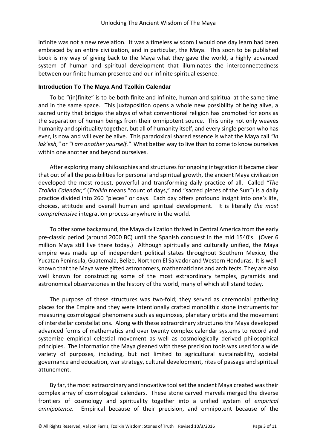infinite was not a new revelation. It was a timeless wisdom I would one day learn had been embraced by an entire civilization, and in particular, the Maya. This soon to be published book is my way of giving back to the Maya what they gave the world, a highly advanced system of human and spiritual development that illuminates the interconnectedness between our finite human presence and our infinite spiritual essence.

# **Introduction To The Maya And Tzolkin Calendar**

To be "(in)finite" is to be both finite and infinite, human and spiritual at the same time and in the same space. This juxtaposition opens a whole new possibility of being alive, a sacred unity that bridges the abyss of what conventional religion has promoted for eons as the separation of human beings from their omnipotent source. This unity not only weaves humanity and spirituality together, but all of humanity itself, and every single person who has ever, is now and will ever be alive. This paradoxical shared essence is what the Maya call *"In lak'esh,"* or *"I am another yourself."* What better way to live than to come to know ourselves within one another and beyond ourselves.

After exploring many philosophies and structures for ongoing integration it became clear that out of all the possibilities for personal and spiritual growth, the ancient Maya civilization developed the most robust, powerful and transforming daily practice of all. Called *"The Tzolkin Calendar,"* (*Tzolkin* means "count of days," and "sacred pieces of the Sun") is a daily practice divided into 260 "pieces" or days. Each day offers profound insight into one's life, choices, attitude and overall human and spiritual development. It is literally *the most comprehensive* integration process anywhere in the world.

To offer some background, the Maya civilization thrived in Central America from the early pre-classic period (around 2000 BC) until the Spanish conquest in the mid 1540's. (Over 6 million Maya still live there today.) Although spiritually and culturally unified, the Maya empire was made up of independent political states throughout Southern Mexico, the Yucatan Peninsula, Guatemala, Belize, Northern El Salvador and Western Honduras. It is wellknown that the Maya were gifted astronomers, mathematicians and architects. They are also well known for constructing some of the most extraordinary temples, pyramids and astronomical observatories in the history of the world, many of which still stand today.

The purpose of these structures was two-fold; they served as ceremonial gathering places for the Empire and they were intentionally crafted monolithic stone instruments for measuring cosmological phenomena such as equinoxes, planetary orbits and the movement of interstellar constellations. Along with these extraordinary structures the Maya developed advanced forms of mathematics and over twenty complex calendar systems to record and systemize empirical celestial movement as well as cosmologically derived philosophical principles. The information the Maya gleaned with these precision tools was used for a wide variety of purposes, including, but not limited to agricultural sustainability, societal governance and education, war strategy, cultural development, rites of passage and spiritual attunement.

By far, the most extraordinary and innovative tool set the ancient Maya created wastheir complex array of cosmological calendars. These stone carved marvels merged the diverse frontiers of cosmology and spirituality together into a unified system of *empirical omnipotence.* Empirical because of their precision, and omnipotent because of the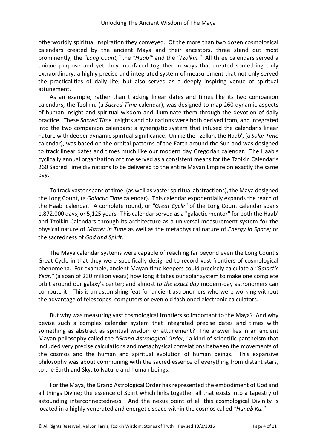otherworldly spiritual inspiration they conveyed. Of the more than two dozen cosmological calendars created by the ancient Maya and their ancestors, three stand out most prominently, the *"Long Count,"* the *"Haab'"* and the *"Tzolkin."* All three calendars served a unique purpose and yet they interfaced together in ways that created something truly extraordinary; a highly precise and integrated system of measurement that not only served the practicalities of daily life, but also served as a deeply inspiring venue of spiritual attunement.

As an example, rather than tracking linear dates and times like its two companion calendars, the Tzolkin*,* (a *Sacred Time* calendar), was designed to map 260 dynamic aspects of human insight and spiritual wisdom and illuminate them through the devotion of daily practice. These *Sacred Time* insights and divinations were both derived from, and integrated into the two companion calendars; a synergistic system that infused the calendar's linear nature with deeper dynamic spiritual significance. Unlike the Tzolkin, the Haab', (a *Solar Time* calendar), was based on the orbital patterns of the Earth around the Sun and was designed to track linear dates and times much like our modern day Gregorian calendar. The Haab's cyclically annual organization of time served as a consistent means for the Tzolkin Calendar's 260 Sacred Time divinations to be delivered to the entire Mayan Empire on exactly the same day.

To track vaster spans of time, (as well as vaster spiritual abstractions), the Maya designed the Long Count, (a *Galactic Time* calendar). This calendar exponentially expands the reach of the Haab' calendar. A complete round, or *"Great Cycle"* of the Long Count calendar spans 1,872,000 days, or 5,125 years. This calendar served as a "galactic mentor" for both the Haab' and Tzolkin Calendars through its architecture as a universal measurement system for the physical nature of *Matter in Time* as well as the metaphysical nature of *Energy in Space;* or the sacredness of *God and Spirit.*

The Maya calendar systems were capable of reaching far beyond even the Long Count's Great Cycle in that they were specifically designed to record vast frontiers of cosmological phenomena. For example, ancient Mayan time keepers could precisely calculate a *"Galactic Year,"* (a span of 230 million years) how long it takes our solar system to make one complete orbit around our galaxy's center; and almost *to the exact day* modern-day astronomers can compute it! This is an astonishing feat for ancient astronomers who were working without the advantage of telescopes, computers or even old fashioned electronic calculators.

But why was measuring vast cosmological frontiers so important to the Maya? And why devise such a complex calendar system that integrated precise dates and times with something as abstract as spiritual wisdom or attunement? The answer lies in an ancient Mayan philosophy called the *"Grand Astrological Order,"* a kind of scientific pantheism that included very precise calculations and metaphysical correlations between the movements of the cosmos and the human and spiritual evolution of human beings. This expansive philosophy was about communing with the sacred essence of everything from distant stars, to the Earth and Sky, to Nature and human beings.

For the Maya, the Grand Astrological Order has represented the embodiment of God and all things Divine; the essence of Spirit which links together all that exists into a tapestry of astounding interconnectedness. And the nexus point of all this cosmological Divinity is located in a highly venerated and energetic space within the cosmos called *"Hunab Ku."*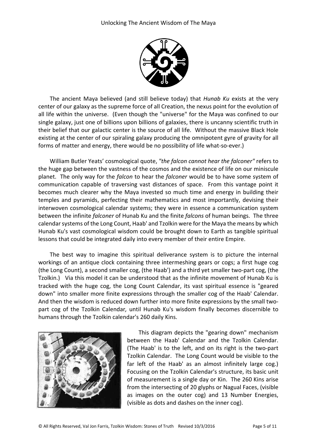

The ancient Maya believed (and still believe today) that *Hunab Ku* exists at the very center of our galaxy as the supreme force of all Creation, the nexus point for the evolution of all life within the universe. (Even though the "universe" for the Maya was confined to our single galaxy, just one of billions upon billions of galaxies, there is uncanny scientific truth in their belief that our galactic center is the source of all life. Without the massive Black Hole existing at the center of our spiraling galaxy producing the omnipotent gyre of gravity for all forms of matter and energy, there would be no possibility of life what-so-ever.)

William Butler Yeats' cosmological quote, *"the falcon cannot hear the falconer"* refers to the huge gap between the vastness of the cosmos and the existence of life on our miniscule planet. The only way for the *falcon* to hear the *falconer* would be to have some system of communication capable of traversing vast distances of space. From this vantage point it becomes much clearer why the Maya invested so much time and energy in building their temples and pyramids, perfecting their mathematics and most importantly, devising their interwoven cosmological calendar systems; they were in essence a communication system between the infinite *falconer* of Hunab Ku and the finite *falcons* of human beings. The three calendar systems of the Long Count, Haab' and Tzolkin were for the Maya the means by which Hunab Ku's vast cosmological wisdom could be brought down to Earth as tangible spiritual lessons that could be integrated daily into every member of their entire Empire.

The best way to imagine this spiritual deliverance system is to picture the internal workings of an antique clock containing three intermeshing gears or cogs; a first huge cog (the Long Count), a second smaller cog, (the Haab') and a third yet smaller two-part cog, (the Tzolkin.) Via this model it can be understood that as the infinite movement of Hunab Ku is tracked with the huge cog, the Long Count Calendar, its vast spiritual essence is "geared down" into smaller more finite expressions through the smaller cog of the Haab' Calendar. And then the wisdom is reduced down further into more finite expressions by the small twopart cog of the Tzolkin Calendar*,* until Hunab Ku's wisdom finally becomes discernible to humans through the Tzolkin calendar's 260 daily Kins.



This diagram depicts the "gearing down" mechanism between the Haab' Calendar and the Tzolkin Calendar. (The Haab' is to the left, and on its right is the two-part Tzolkin Calendar. The Long Count would be visible to the far left of the Haab' as an almost infinitely large cog.) Focusing on the Tzolkin Calendar's structure, its basic unit of measurement is a single day or Kin. The 260 Kins arise from the intersecting of 20 glyphs or Nagual Faces, (visible as images on the outer cog) and 13 Number Energies, (visible as dots and dashes on the inner cog).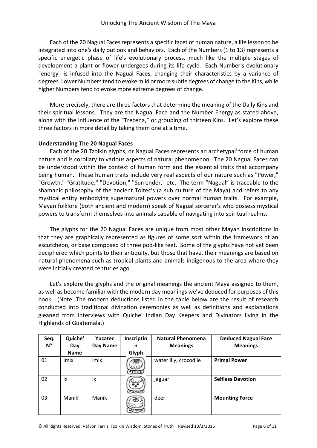Each of the 20 Nagual Faces represents a specific facet of human nature, a life lesson to be integrated into one's daily outlook and behaviors. Each of the Numbers (1 to 13) represents a specific energetic phase of life's evolutionary process, much like the multiple stages of development a plant or flower undergoes during its life cycle. Each Number's evolutionary "energy" is infused into the Nagual Faces, changing their characteristics by a variance of degrees. Lower Numbers tend to evoke mild or more subtle degrees of change to the Kins, while higher Numbers tend to evoke more extreme degrees of change.

More precisely, there are three factors that determine the meaning of the Daily Kins and their spiritual lessons. They are the Nagual Face and the Number Energy as stated above, along with the influence of the "Trecena," or grouping of thirteen Kins. Let's explore these three factors in more detail by taking them one at a time.

#### **Understanding The 20 Nagual Faces**

Each of the 20 Tzolkin glyphs, or Nagual Faces represents an archetypal<sup>i</sup> force of human nature and is corollary to various aspects of natural phenomenon. The 20 Nagual Faces can be understood within the context of human form and the essential traits that accompany being human. These human traits include very real aspects of our nature such as "Power," "Growth," "Gratitude," "Devotion," "Surrender," etc. The term "Nagual" is traceable to the shamanic philosophy of the ancient Toltec's (a sub culture of the Maya) and refers to any mystical entity embodying supernatural powers over normal human traits. For example, Mayan folklore (both ancient and modern) speak of Nagual sorcerer's who possess mystical powers to transform themselves into animals capable of navigating into spiritual realms.

The glyphs for the 20 Nagual Faces are unique from most other Mayan inscriptions in that they are graphically represented as figures of some sort within the framework of an escutcheon, or base composed of three pod-like feet. Some of the glyphs have not yet been deciphered which points to their antiquity, but those that have, their meanings are based on natural phenomena such as tropical plants and animals indigenous to the area where they were initially created centuries ago.

Let's explore the glyphs and the original meanings the ancient Maya assigned to them, as well as become familiar with the modern day meanings we've deduced for purposes of this book. (Note: The modern deductions listed in the table below are the result of research conducted into traditional divination ceremonies as well as definitions and explanations gleaned from interviews with Quiche' Indian Day Keepers and Divinators living in the Highlands of Guatemala.)

| Seq.     | Quiche'     | <b>Yucatec</b> | Inscriptio | <b>Natural Phenomena</b> | <b>Deduced Nagual Face</b> |
|----------|-------------|----------------|------------|--------------------------|----------------------------|
| $N^{o.}$ | Day         | Day Name       | n          | <b>Meanings</b>          | <b>Meanings</b>            |
|          | <b>Name</b> |                | Glyph      |                          |                            |
| 01       | Imix'       | <b>Imix</b>    |            | water lily, crocodile    | <b>Primal Power</b>        |
| 02       | lx          | lx             |            | jaguar                   | <b>Selfless Devotion</b>   |
| 03       | Manik'      | Manik          |            | deer                     | <b>Mounting Force</b>      |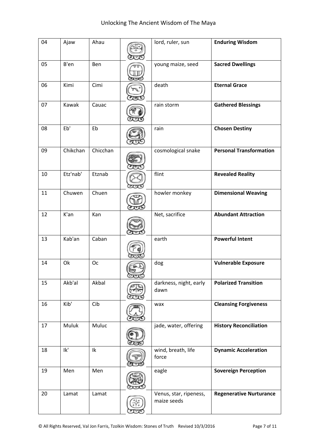| 04 | Ajaw     | Ahau     | lord, ruler, sun                      | <b>Enduring Wisdom</b>         |
|----|----------|----------|---------------------------------------|--------------------------------|
| 05 | B'en     | Ben      | young maize, seed                     | <b>Sacred Dwellings</b>        |
| 06 | Kimi     | Cimi     | death                                 | <b>Eternal Grace</b>           |
| 07 | Kawak    | Cauac    | rain storm                            | <b>Gathered Blessings</b>      |
| 08 | Eb'      | Eb       | rain                                  | <b>Chosen Destiny</b>          |
| 09 | Chikchan | Chicchan | cosmological snake                    | <b>Personal Transformation</b> |
| 10 | Etz'nab' | Etznab   | flint                                 | <b>Revealed Reality</b>        |
| 11 | Chuwen   | Chuen    | howler monkey                         | <b>Dimensional Weaving</b>     |
| 12 | K'an     | Kan      | Net, sacrifice                        | <b>Abundant Attraction</b>     |
| 13 | Kab'an   | Caban    | earth                                 | <b>Powerful Intent</b>         |
| 14 | Ok       | Oc       | dog                                   | <b>Vulnerable Exposure</b>     |
| 15 | Akb'al   | Akbal    | darkness, night, early<br>dawn        | <b>Polarized Transition</b>    |
| 16 | Kib'     | Cib      | wax                                   | <b>Cleansing Forgiveness</b>   |
| 17 | Muluk    | Muluc    | jade, water, offering                 | <b>History Reconciliation</b>  |
| 18 | lk'      | Ik       | wind, breath, life<br>force           | <b>Dynamic Acceleration</b>    |
| 19 | Men      | Men      | eagle                                 | <b>Sovereign Perception</b>    |
| 20 | Lamat    | Lamat    | Venus, star, ripeness,<br>maize seeds | <b>Regenerative Nurturance</b> |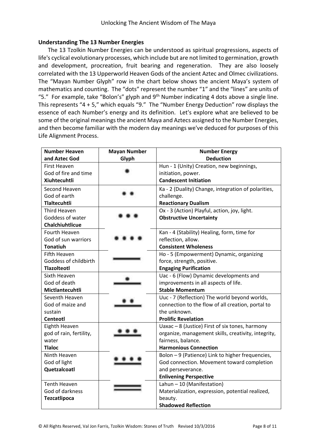#### **Understanding The 13 Number Energies**

The 13 Tzolkin Number Energies can be understood as spiritual progressions, aspects of life's cyclical evolutionary processes, which include but are not limited to germination, growth and development, procreation, fruit bearing and regeneration. They are also loosely correlated with the 13 Upperworld Heaven Gods of the ancient Aztec and Olmec civilizations. The "Mayan Number Glyph" row in the chart below shows the ancient Maya's system of mathematics and counting. The "dots" represent the number "1" and the "lines" are units of "5." For example, take "Bolon's" glyph and  $9<sup>th</sup>$  Number indicating 4 dots above a single line. This represents "4 + 5," which equals "9." The "Number Energy Deduction" row displays the essence of each Number's energy and its definition. Let's explore what are believed to be some of the original meanings the ancient Maya and Aztecs assigned to the Number Energies, and then become familiar with the modern day meanings we've deduced for purposes of this Life Alignment Process.

| <b>Number Heaven</b>    | <b>Mayan Number</b> | <b>Number Energy</b>                                |  |
|-------------------------|---------------------|-----------------------------------------------------|--|
| and Aztec God           | Glyph               | <b>Deduction</b>                                    |  |
| <b>First Heaven</b>     |                     | Hun - 1 (Unity) Creation, new beginnings,           |  |
| God of fire and time    |                     | initiation, power.                                  |  |
| <b>Xiuhtecuhtli</b>     |                     | <b>Candescent Initiation</b>                        |  |
| Second Heaven           |                     | Ka - 2 (Duality) Change, integration of polarities, |  |
| God of earth            |                     | challenge.                                          |  |
| <b>Tlaltecuhtli</b>     |                     | <b>Reactionary Dualism</b>                          |  |
| Third Heaven            |                     | Ox - 3 (Action) Playful, action, joy, light.        |  |
| Goddess of water        |                     | <b>Obstructive Uncertainty</b>                      |  |
| Chalchiuhtlicue         |                     |                                                     |  |
| Fourth Heaven           |                     | Kan - 4 (Stability) Healing, form, time for         |  |
| God of sun warriors     |                     | reflection, allow.                                  |  |
| Tonatiuh                |                     | <b>Consistent Wholeness</b>                         |  |
| Fifth Heaven            |                     | Ho - 5 (Empowerment) Dynamic, organizing            |  |
| Goddess of childbirth   |                     | force, strength, positive.                          |  |
| <b>Tlazolteotl</b>      |                     | <b>Engaging Purification</b>                        |  |
| Sixth Heaven            |                     | Uac - 6 (Flow) Dynamic developments and             |  |
| God of death            |                     | improvements in all aspects of life.                |  |
| Mictlantecuhtli         |                     | <b>Stable Momentum</b>                              |  |
| Seventh Heaven          |                     | Uuc - 7 (Reflection) The world beyond worlds,       |  |
| God of maize and        |                     | connection to the flow of all creation, portal to   |  |
| sustain                 |                     | the unknown.                                        |  |
| Centeotl                |                     | <b>Prolific Revelation</b>                          |  |
| Eighth Heaven           |                     | Uaxac - 8 (Justice) First of six tones, harmony     |  |
| god of rain, fertility, |                     | organize, management skills, creativity, integrity, |  |
| water                   |                     | fairness, balance.                                  |  |
| <b>Tlaloc</b>           |                     | <b>Harmonious Connection</b>                        |  |
| Ninth Heaven            |                     | Bolon - 9 (Patience) Link to higher frequencies,    |  |
| God of light            |                     | God connection. Movement toward completion          |  |
| Quetzalcoatl            |                     | and perseverance.                                   |  |
|                         |                     | <b>Enlivening Perspective</b>                       |  |
| <b>Tenth Heaven</b>     |                     | Lahun $-10$ (Manifestation)                         |  |
| God of darkness         |                     | Materialization, expression, potential realized,    |  |
| Tezcatlipoca            |                     | beauty.                                             |  |
|                         |                     | <b>Shadowed Reflection</b>                          |  |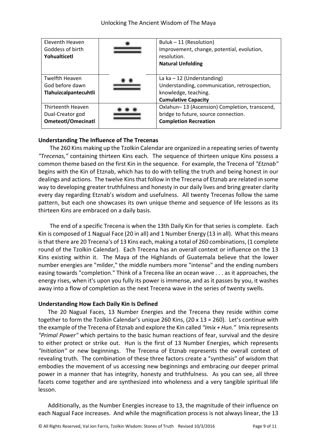| Eleventh Heaven<br>Goddess of birth<br>Yohualticetl               | Buluk - 11 (Resolution)<br>Improvement, change, potential, evolution,<br>resolution.<br><b>Natural Unfolding</b>                  |
|-------------------------------------------------------------------|-----------------------------------------------------------------------------------------------------------------------------------|
| <b>Twelfth Heaven</b><br>God before dawn<br>Tlahuizcalpantecuhtli | La ka $-12$ (Understanding)<br>Understanding, communication, retrospection,<br>knowledge, teaching.<br><b>Cumulative Capacity</b> |
| Thirteenth Heaven<br>Dual-Creator god<br>Ometeotl/Omecinatl       | Oxlahun-13 (Ascension) Completion, transcend,<br>bridge to future, source connection.<br><b>Completion Recreation</b>             |

# **Understanding The Influence of The Trecenas**

The 260 Kins making up the Tzolkin Calendar are organized in a repeating series of twenty *"Trecenas,"* containing thirteen Kins each. The sequence of thirteen unique Kins possess a common theme based on the first Kin in the sequence. For example, the Trecena of *"Etznab"* begins with the Kin of Etznab, which has to do with telling the truth and being honest in our dealings and actions. The twelve Kins that follow in the Trecena of Etznab are related in some way to developing greater truthfulness and honesty in our daily lives and bring greater clarity every day regarding Etznab's wisdom and usefulness. All twenty Trecenas follow the same pattern, but each one showcases its own unique theme and sequence of life lessons as its thirteen Kins are embraced on a daily basis.

The end of a specific Trecena is when the 13th Daily Kin for that series is complete. Each Kin is composed of 1 Nagual Face (20 in all) and 1 Number Energy (13 in all). What this means is that there are 20 Trecena's of 13 Kins each, making a total of 260 combinations, (1 complete round of the Tzolkin Calendar). Each Trecena has an overall context or influence on the 13 Kins existing within it. The Maya of the Highlands of Guatemala believe that the lower number energies are "milder," the middle numbers more "intense" and the ending numbers easing towards "completion." Think of a Trecena like an ocean wave . . . as it approaches, the energy rises, when it's upon you fully its power is immense, and as it passes by you, it washes away into a flow of completion as the next Trecena wave in the series of twenty swells.

#### **Understanding How Each Daily Kin Is Defined**

The 20 Nagual Faces, 13 Number Energies and the Trecena they reside within come together to form the Tzolkin Calendar's unique 260 Kins, (20 x 13 = 260). Let's continue with the example of the Trecena of Etznab and explore the Kin called *"Imix + Hun."* Imix represents *"Primal Power"* which pertains to the basic human reactions of fear, survival and the desire to either protect or strike out. Hun is the first of 13 Number Energies, which represents *"Initiation"* or new beginnings. The Trecena of Etznab represents the overall context of revealing truth. The combination of these three factors create a "synthesis" of wisdom that embodies the movement of us accessing new beginnings and embracing our deeper primal power in a manner that has integrity, honesty and truthfulness. As you can see, all three facets come together and are synthesized into wholeness and a very tangible spiritual life lesson.

Additionally, as the Number Energies increase to 13, the magnitude of their influence on each Nagual Face increases. And while the magnification process is not always linear, the 13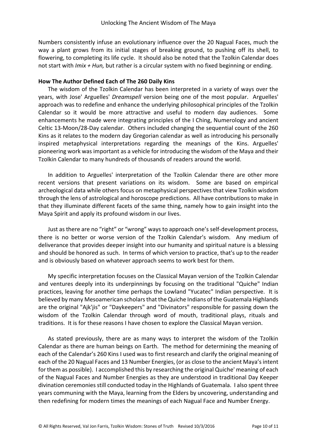Numbers consistently infuse an evolutionary influence over the 20 Nagual Faces, much the way a plant grows from its initial stages of breaking ground, to pushing off its shell, to flowering, to completing its life cycle. It should also be noted that the Tzolkin Calendar does not start with *Imix + Hun,* but rather is a circular system with no fixed beginning or ending.

## **How The Author Defined Each of The 260 Daily Kins**

The wisdom of the Tzolkin Calendar has been interpreted in a variety of ways over the years, with Jose' Arguelles' *Dreamspell* version being one of the most popular. Arguelles' approach was to redefine and enhance the underlying philosophical principles of the Tzolkin Calendar so it would be more attractive and useful to modern day audiences. Some enhancements he made were integrating principles of the I Ching, Numerology and ancient Celtic 13-Moon/28-Day calendar. Others included changing the sequential count of the 260 Kins as it relates to the modern day Gregorian calendar as well as introducing his personally inspired metaphysical interpretations regarding the meanings of the Kins. Arguelles' pioneering work was important as a vehicle for introducing the wisdom of the Maya and their Tzolkin Calendar to many hundreds of thousands of readers around the world.

In addition to Arguelles' interpretation of the Tzolkin Calendar there are other more recent versions that present variations on its wisdom. Some are based on empirical archeological data while others focus on metaphysical perspectives that view Tzolkin wisdom through the lens of astrological and horoscope predictions. All have contributions to make in that they illuminate different facets of the same thing, namely how to gain insight into the Maya Spirit and apply its profound wisdom in our lives.

Just as there are no "right" or "wrong" ways to approach one's self-development process, there is no better or worse version of the Tzolkin Calendar's wisdom. Any medium of deliverance that provides deeper insight into our humanity and spiritual nature is a blessing and should be honored as such. In terms of which version to practice, that's up to the reader and is obviously based on whatever approach seems to work best for them.

My specific interpretation focuses on the Classical Mayan version of the Tzolkin Calendar and ventures deeply into its underpinnings by focusing on the traditional "Quiche" Indian practices, leaving for another time perhaps the Lowland "Yucatec" Indian perspective. It is believed by many Mesoamerican scholars that the Quiche Indians of the Guatemala Highlands are the original "Ajk'jis" or "Daykeepers" and "Divinators" responsible for passing down the wisdom of the Tzolkin Calendar through word of mouth, traditional plays, rituals and traditions. It is for these reasons I have chosen to explore the Classical Mayan version.

As stated previously, there are as many ways to interpret the wisdom of the Tzolkin Calendar as there are human beings on Earth. The method for determining the meaning of each of the Calendar's 260 Kins I used was to first research and clarify the original meaning of each of the 20 Nagual Faces and 13 Number Energies, (or as close to the ancient Maya's intent for them as possible). I accomplished this by researching the original Quiche' meaning of each of the Nagual Faces and Number Energies as they are understood in traditional Day Keeper divination ceremonies still conducted today in the Highlands of Guatemala. I also spent three years communing with the Maya, learning from the Elders by uncovering, understanding and then redefining for modern times the meanings of each Nagual Face and Number Energy.